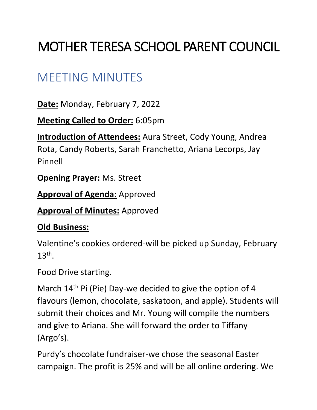# MOTHER TERESA SCHOOL PARENT COUNCIL

# MEETING MINUTES

**Date:** Monday, February 7, 2022

**Meeting Called to Order:** 6:05pm

**Introduction of Attendees:** Aura Street, Cody Young, Andrea Rota, Candy Roberts, Sarah Franchetto, Ariana Lecorps, Jay Pinnell

**Opening Prayer:** Ms. Street

**Approval of Agenda:** Approved

**Approval of Minutes:** Approved

#### **Old Business:**

Valentine's cookies ordered-will be picked up Sunday, February  $13<sup>th</sup>$ .

Food Drive starting.

March 14<sup>th</sup> Pi (Pie) Day-we decided to give the option of 4 flavours (lemon, chocolate, saskatoon, and apple). Students will submit their choices and Mr. Young will compile the numbers and give to Ariana. She will forward the order to Tiffany (Argo's).

Purdy's chocolate fundraiser-we chose the seasonal Easter campaign. The profit is 25% and will be all online ordering. We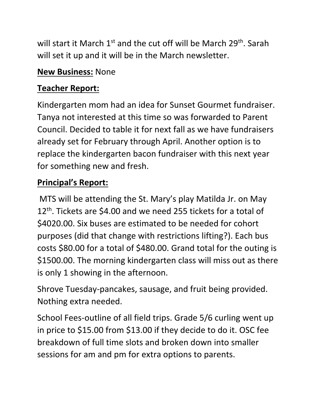will start it March 1<sup>st</sup> and the cut off will be March 29<sup>th</sup>. Sarah will set it up and it will be in the March newsletter.

#### **New Business:** None

## **Teacher Report:**

Kindergarten mom had an idea for Sunset Gourmet fundraiser. Tanya not interested at this time so was forwarded to Parent Council. Decided to table it for next fall as we have fundraisers already set for February through April. Another option is to replace the kindergarten bacon fundraiser with this next year for something new and fresh.

## **Principal's Report:**

MTS will be attending the St. Mary's play Matilda Jr. on May 12<sup>th</sup>. Tickets are \$4.00 and we need 255 tickets for a total of \$4020.00. Six buses are estimated to be needed for cohort purposes (did that change with restrictions lifting?). Each bus costs \$80.00 for a total of \$480.00. Grand total for the outing is \$1500.00. The morning kindergarten class will miss out as there is only 1 showing in the afternoon.

Shrove Tuesday-pancakes, sausage, and fruit being provided. Nothing extra needed.

School Fees-outline of all field trips. Grade 5/6 curling went up in price to \$15.00 from \$13.00 if they decide to do it. OSC fee breakdown of full time slots and broken down into smaller sessions for am and pm for extra options to parents.